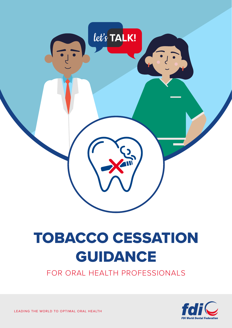

# TOBACCO CESSATION GUIDANCE

FOR ORAL HEALTH PROFESSIONALS



LEADING THE WORLD TO OPTIMAL ORAL HEALTH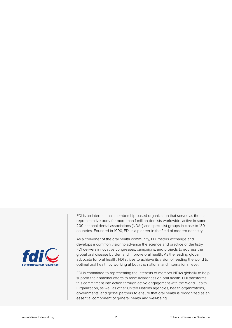

FDI is an international, membership-based organization that serves as the main representative body for more than 1 million dentists worldwide, active in some 200 national dental associations (NDAs) and specialist groups in close to 130 countries. Founded in 1900, FDI is a pioneer in the field of modern dentistry.

As a convener of the oral health community, FDI fosters exchange and develops a common vision to advance the science and practice of dentistry. FDI delivers innovative congresses, campaigns, and projects to address the global oral disease burden and improve oral health. As the leading global advocate for oral health, FDI strives to achieve its vision of leading the world to optimal oral health by working at both the national and international level.

FDI is committed to representing the interests of member NDAs globally to help support their national efforts to raise awareness on oral health. FDI transforms this commitment into action through active engagement with the World Health Organization, as well as other United Nations agencies, health organizations, governments, and global partners to ensure that oral health is recognized as an essential component of general health and well-being.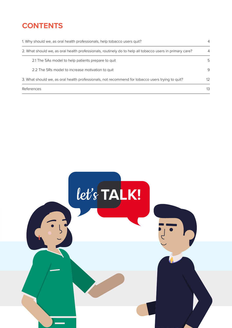### **CONTENTS**

| 1. Why should we, as oral health professionals, help tobacco users quit?                                 |     |
|----------------------------------------------------------------------------------------------------------|-----|
| 2. What should we, as oral health professionals, routinely do to help all tobacco users in primary care? | 4   |
| 2.1 The 5As model to help patients prepare to quit                                                       | .5  |
| 2.2 The 5Rs model to increase motivation to quit                                                         | 9   |
| 3. What should we, as oral health professionals, not recommend for tobacco users trying to quit?         | 12. |
| References                                                                                               | 13  |

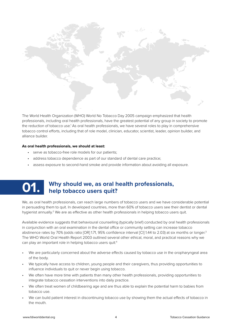

The World Health Organization (WHO) World No Tobacco Day 2005 campaign emphasized that health professionals, including oral health professionals, have the greatest potential of any group in society to promote the reduction of tobacco use.<sup>1</sup> As oral health professionals, we have several roles to play in comprehensive tobacco control efforts, including that of role model, clinician, educator, scientist, leader, opinion builder, and alliance builder.

#### **As oral health professionals, we should at least:**

- serve as tobacco-free role models for our patients;
- address tobacco dependence as part of our standard of dental care practice;
- assess exposure to second-hand smoke and provide information about avoiding all exposure.

## Why should we, as oral health professionals, help tobacco users quit?

We, as oral health professionals, can reach large numbers of tobacco users and we have considerable potential in persuading them to quit. In developed countries, more than 60% of tobacco users see their dentist or dental hygienist annually.<sup>2</sup> We are as effective as other health professionals in helping tobacco users quit.

Available evidence suggests that behavioural counselling (typically brief) conducted by oral health professionals in conjunction with an oral examination in the dental office or community setting can increase tobacco abstinence rates by 70% (odds ratio [OR] 1.71, 95% confidence interval [CI] 1.44 to 2.03) at six months or longer.<sup>3</sup> The WHO World Oral Health Report 2003 outlined several other ethical, moral, and practical reasons why we can play an important role in helping tobacco users quit:4

- We are particularly concerned about the adverse effects caused by tobacco use in the oropharyngeal area of the body.
- We typically have access to children, young people and their caregivers, thus providing opportunities to influence individuals to quit or never begin using tobacco.
- We often have more time with patients than many other health professionals, providing opportunities to integrate tobacco cessation interventions into daily practice.
- We often treat women of childbearing age and are thus able to explain the potential harm to babies from tobacco use.
- We can build patient interest in discontinuing tobacco use by showing them the actual effects of tobacco in the mouth.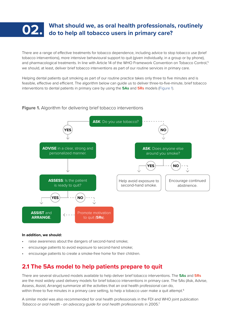

There are a range of effective treatments for tobacco dependence, including advice to stop tobacco use (brief tobacco interventions), more intensive behavioural support to quit (given individually, in a group or by phone), and pharmacological treatments. In line with Article 14 of the WHO Framework Convention on Tobacco Control,<sup>5</sup> we should, at least, deliver brief tobacco interventions as part of our routine services in primary care.

Helping dental patients quit smoking as part of our routine practice takes only three to five minutes and is feasible, effective and efficient. The algorithm below can guide us to deliver three-to-five-minute, brief tobacco interventions to dental patients in primary care by using the **5As** and **5Rs** models (Figure 1).

#### **Figure 1.** Algorithm for delivering brief tobacco interventions



#### **In addition, we should:**

- raise awareness about the dangers of second-hand smoke;
- encourage patients to avoid exposure to second-hand smoke;
- encourage patients to create a smoke-free home for their children.

#### **2.1 The 5As model to help patients prepare to quit**

There are several structured models available to help deliver brief tobacco interventions. The **5As** and **5Rs** are the most widely used delivery models for brief tobacco interventions in primary care. The 5As (Ask, Advise, Assess, Assist, Arrange) summarize all the activities that an oral health professional can do, within three to five minutes in a primary care setting, to help a tobacco user make a quit attempt.<sup>6</sup>

A similar model was also recommended for oral health professionals in the FDI and WHO joint publication *Tobacco or oral health - an advocacy guide for oral health professionals* in 2005.<sup>7</sup>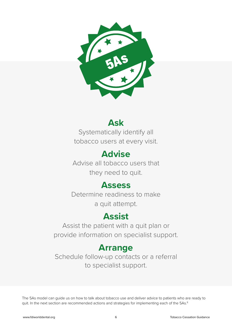

### **Ask**

Systematically identify all tobacco users at every visit.

### **Advise**

Advise all tobacco users that they need to quit.

### **Assess**

Determine readiness to make a quit attempt.

### **Assist**

Assist the patient with a quit plan or provide information on specialist support.

### **Arrange**

Schedule follow-up contacts or a referral to specialist support.

The 5As model can guide us on how to talk about tobacco use and deliver advice to patients who are ready to quit. In the next section are recommended actions and strategies for implementing each of the 5As.<sup>8</sup>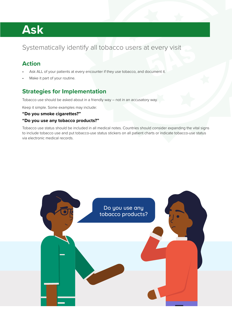## **Ask**

#### Systematically identify all tobacco users at every visit

#### **Action**

- Ask ALL of your patients at every encounter if they use tobacco, and document it.
- Make it part of your routine.

#### **Strategies for Implementation**

Tobacco use should be asked about in a friendly way – not in an accusatory way.

Keep it simple. Some examples may include:

#### **"Do you smoke cigarettes?"**

#### **"Do you use any tobacco products?"**

Tobacco use status should be included in all medical notes. Countries should consider expanding the vital signs to include tobacco use and put tobacco-use status stickers on all patient charts or indicate tobacco-use status via electronic medical records.

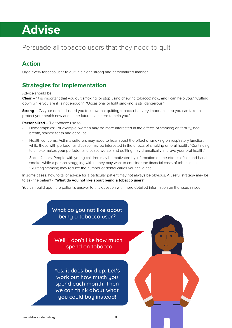## **Advise**

#### Persuade all tobacco users that they need to quit

#### **Action**

Urge every tobacco user to quit in a clear, strong and personalized manner.

#### **Strategies for Implementation**

Advice should be:

**Clear** – "It is important that you quit smoking (or stop using chewing tobacco) now, and I can help you." "Cutting down while you are ill is not enough." "Occasional or light smoking is still dangerous."

**Strong** – "As your dentist, I need you to know that quitting tobacco is a very important step you can take to protect your health now and in the future. I am here to help you."

#### **Personalized** – Tie tobacco use to:

- Demographics: For example, women may be more interested in the effects of smoking on fertility, bad breath, stained teeth and dark lips.
- Health concerns: Asthma sufferers may need to hear about the effect of smoking on respiratory function, while those with periodontal disease may be interested in the effects of smoking on oral health. "Continuing to smoke makes your periodontal disease worse, and quitting may dramatically improve your oral health."
- Social factors: People with young children may be motivated by information on the effects of second-hand smoke, while a person struggling with money may want to consider the financial costs of tobacco use. "Quitting smoking may reduce the number of dental caries your child has."

In some cases, how to tailor advice for a particular patient may not always be obvious. A useful strategy may be to ask the patient - **"What do you not like about being a tobacco user?**"

.yc egnan <sup>r</sup> p

You can build upon the patient's answer to this question with more detailed information on the issue raised.

What do you not like about being a tobacco user?

Well, I don't like how much I spend on tobacco.

Yes, it does build up. Let's work out how much you spend each month. Then we can think about what you could buy instead!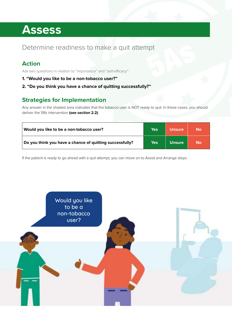## **Assess**

#### Determine readiness to make a quit attempt

#### **Action**

Ask two questions in relation to "importance" and "self-efficacy":

- **1. "Would you like to be a non-tobacco user?"**
- **2. "Do you think you have a chance of quitting successfully?"**

#### **Strategies for Implementation**

Any answer in the shaded area indicates that the tobacco user is NOT ready to quit. In these cases, you should deliver the 5Rs intervention **(see section 2.2)**.

| Would you like to be a non-tobacco user?                 | Yes | <b>Unsure</b> | <b>No</b> |
|----------------------------------------------------------|-----|---------------|-----------|
| Do you think you have a chance of quitting successfully? | Yes | <b>Unsure</b> | <b>No</b> |

If the patient is ready to go ahead with a quit attempt, you can move on to Assist and Arrange steps.

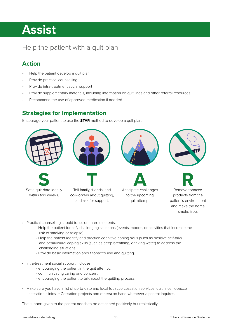## **Assist**

#### Help the patient with a quit plan

#### **Action**

- Help the patient develop a quit plan
- Provide practical counselling
- Provide intra-treatment social support
- Provide supplementary materials, including information on quit lines and other referral resources<br>• Recommend the use of approved medication if needed
- Recommend the use of approved medication if needed  $T_{\text{e}}$ Anticipate challenges  $\mathsf{F}_{\mathsf{P}}$  for all friends, about  $\mathsf{F}_{\mathsf{P}}$ Anticipate challenges  $\frac{1}{2}$  for each comodition, and as Tell family, friends, and coworkers about quitting, and ask for support.

#### **Strategies for Implementation**

Encourage your patient to use the **STAR** method to develop a quit plan:



- Practical counselling should focus on three elements:
	- Help the patient identify challenging situations (events, moods, or activities that increase the risk of smoking or relapse).
	- Help the patient identify and practice cognitive coping skills (such as positive self-talk) and behavioural coping skills (such as deep breathing, drinking water) to address the challenging situations.
	- Provide basic information about tobacco use and quitting.
- Intra-treatment social support includes:
	- encouraging the patient in the quit attempt;
	- communicating caring and concern;
	- encouraging the patient to talk about the quitting process.
- Make sure you have a list of up-to-date and local tobacco cessation services (quit lines, tobacco cessation clinics, mCessation projects and others) on hand whenever a patient inquires.

The support given to the patient needs to be described positively but realistically.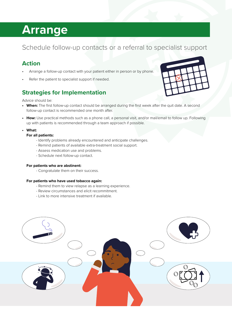## **Arrange**

#### Schedule follow-up contacts or a referral to specialist support

#### **Action**

- Arrange a follow-up contact with your patient either in person or by phone.
- Refer the patient to specialist support if needed.

#### **Strategies for Implementation**

Advice should be:

- **• When:** The first follow-up contact should be arranged during the first week after the quit date. A second follow-up contact is recommended one month after.
- **• How:** Use practical methods such as a phone call, a personal visit, and/or mail/email to follow up. Following up with patients is recommended through a team approach if possible.
- **• What:**
	- **For all patients:**
		- Identify problems already encountered and anticipate challenges.
		- Remind patients of available extra-treatment social support.
		- Assess medication use and problems.
		- Schedule next follow-up contact.

#### **For patients who are abstinent:**

- Congratulate them on their success.

#### **For patients who have used tobacco again:**

- Remind them to view relapse as a learning experience.
- Review circumstances and elicit recommitment.
- Link to more intensive treatment if available.



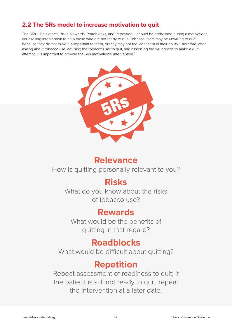#### **2.2 The 5Rs model to increase motivation to quit**

The 5Rs – Relevance, Risks, Rewards, Roadblocks, and Repetition – should be addressed during a motivational counselling intervention to help those who are not ready to quit. Tobacco users may be unwilling to quit because they do not think it is important to them, or they may not feel confident in their ability. Therefore, after asking about tobacco use, advising the tobacco user to quit, and assessing the willingness to make a quit attempt, it is important to provide the 5Rs motivational intervention.<sup>6</sup>



### **Relevance**

How is quitting personally relevant to you?

### **Risks**

What do you know about the risks of tobacco use?

### **Rewards**

What would be the benefits of quitting in that regard?

### **Roadblocks**

What would be difficult about quitting?

### **Repetition**

Repeat assessment of readiness to quit; if the patient is still not ready to quit, repeat the intervention at a later date.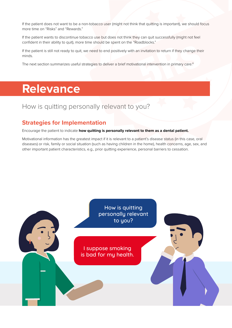If the patient does not want to be a non-tobacco user (might not think that quitting is important), we should focus more time on "Risks" and "Rewards."

If the patient wants to discontinue tobacco use but does not think they can quit successfully (might not feel confident in their ability to quit), more time should be spent on the "Roadblocks."

If the patient is still not ready to quit, we need to end positively with an invitation to return if they change their minds.

The next section summarizes useful strategies to deliver a brief motivational intervention in primary care.<sup>8</sup>

## **Relevance**

#### How is quitting personally relevant to you?

#### **Strategies for Implementation**

Encourage the patient to indicate **how quitting is personally relevant to them as a dental patient.** 

Motivational information has the greatest impact if it is relevant to a patient's disease status (in this case, oral diseases) or risk, family or social situation (such as having children in the home), health concerns, age, sex, and other important patient characteristics, e.g., prior quitting experience, personal barriers to cessation.

> How is quitting How is quitting personally relevant personally relevant to you? to you?

I suppose smoking is bad for my health. I suppose smoking is bad for my health.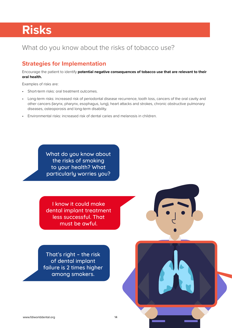## **Risks**

#### What do you know about the risks of tobacco use?

#### **Strategies for Implementation**

Encourage the patient to identify **potential negative consequences of tobacco use that are relevant to their oral health.**

Examples of risks are:

- Short-term risks: oral treatment outcomes.
- Long-term risks: increased risk of periodontal disease recurrence, tooth loss, cancers of the oral cavity and other cancers (larynx, pharynx, esophagus, lung), heart attacks and strokes, chronic obstructive pulmonary diseases, osteoporosis and long-term disability.
- Environmental risks: increased risk of dental caries and melanosis in children.

What do you know about the risks of smoking to your health? What particularly worries you?

I know it could make dental implant treatment less successful. That must be awful.

That's right – the risk of dental implant failure is 2 times higher among smokers.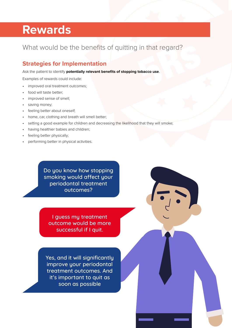### **Rewards**

#### What would be the benefits of quitting in that regard?

#### **Strategies for Implementation**

Ask the patient to identify **potentially relevant benefits of stopping tobacco use**.

Examples of rewards could include:

- improved oral treatment outcomes;
- food will taste better;
- improved sense of smell;
- saving money;
- feeling better about oneself;
- home, car, clothing and breath will smell better;
- setting a good example for children and decreasing the likelihood that they will smoke;
- having healthier babies and children;
- feeling better physically;
- performing better in physical activities.

Do you know how stopping smoking would affect your periodontal treatment outcomes?

I guess my treatment outcome would be more successful if I quit.

Yes, and it will significantly improve your periodontal treatment outcomes. And it's important to quit as soon as possible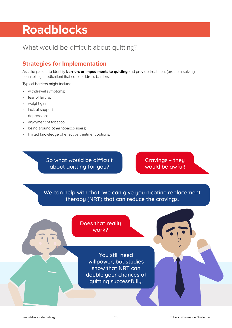## **Roadblocks**

#### What would be difficult about quitting?

#### **Strategies for Implementation**

Ask the patient to identify **barriers or impediments to quitting** and provide treatment (problem-solving counselling, medication) that could address barriers.

Typical barriers might include:

- withdrawal symptoms;
- fear of failure:
- weight gain;
- lack of support;
- depression;
- enjoyment of tobacco;
- being around other tobacco users;
- limited knowledge of effective treatment options.

So what would be difficult about quitting for you?

Cravings – they would be awful!

We can help with that. We can give you nicotine replacement therapy (NRT) that can reduce the cravings.

> Does that really work?

> > You still need willpower, but studies show that NRT can double your chances of quitting successfully.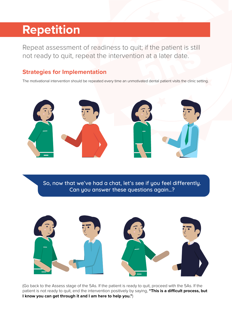## **Repetition**

Repeat assessment of readiness to quit; if the patient is still not ready to quit, repeat the intervention at a later date.

#### **Strategies for Implementation**

The motivational intervention should be repeated every time an unmotivated dental patient visits the clinic setting.



So, now that we've had a chat, let's see if you feel differently. Can you answer these questions again…?



(Go back to the Assess stage of the 5As. If the patient is ready to quit, proceed with the 5As. If the patient is not ready to quit, end the intervention positively by saying, **"This is a difficult process, but I know you can get through it and I am here to help you."**)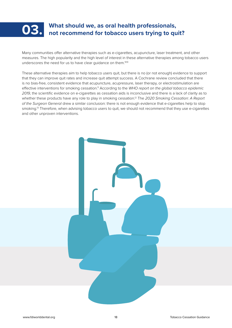

# **What should we, as oral health professionals,<br>| not recommend for tobacco users trying to quit?**

Many communities offer alternative therapies such as e-cigarettes, acupuncture, laser treatment, and other measures. The high popularity and the high level of interest in these alternative therapies among tobacco users underscores the need for us to have clear quidance on them.<sup>9,10</sup>

These alternative therapies aim to help tobacco users quit, but there is no (or not enough) evidence to support that they can improve quit rates and increase quit attempt success. A Cochrane review concluded that there is no bias-free, consistent evidence that acupuncture, acupressure, laser therapy, or electrostimulation are effective interventions for smoking cessation.11 According to the *WHO report on the global tobacco epidemic 2019*, the scientific evidence on e-cigarettes as cessation aids is inconclusive and there is a lack of clarity as to whether these products have any role to play in smoking cessation.12 The *2020 Smoking Cessation: A Report of the Surgeon General* drew a similar conclusion: there is not enough evidence that e-cigarettes help to stop smoking.<sup>13</sup> Therefore, when advising tobacco users to quit, we should not recommend that they use e-cigarettes and other unproven interventions.

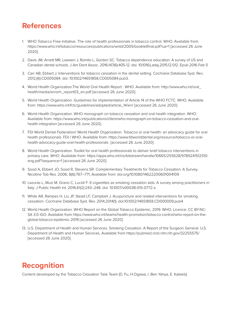#### **References**

- 1. WHO Tobacco Free Initiative. The role of health professionals in tobacco control. WHO. Available from: https://www.who.int/tobacco/resources/publications/wntd/2005/bookletfinal.pdf?ua=1 [accessed 26 June 2020].
- 2. Davis JM, Arnett MR, Loewen J, Romito L, Gordon SC. Tobacco dependence education: A survey of US and Canadian dental schools. J Am Dent Assoc. 2016;147(6):405-12. doi: 10.1016/j.adaj.2015.12.012. Epub 2016 Feb 5
- 3. Carr AB, Ebbert J. Interventions for tobacco cessation in the dental setting. Cochrane Database Syst. Rev. 2012;(6):CD005084. doi: 10.1002/14651858.CD005084.pub3.
- 4. World Health Organization.The World Oral Health Report . WHO. Available from: http://www.who.int/oral\_ health/media/en/orh\_report03\_en.pdf [accessed 26 June 2020].
- 5. World Health Organization. Guidelines for implementation of Article 14 of the WHO FCTC. WHO. Available from: https://www.who.int/fctc/guidelines/adopted/article\_14/en/ [accessed 26 June 2020].
- 6. World Health Organization. WHO monograph on tobacco cessation and oral health integration. WHO. Available from: https://www.who.int/publications/i/item/who-monograph-on-tobacco-cessation-and-oralhealth-integration [accessed 26 June 2020].
- 7. FDI World Dental Federation/ World Health Organization. Tobacco or oral health: an advocacy guide for oral health professionals. FDI / WHO. Available from: https://www.fdiworlddental.org/resource/tobacco-or-oralhealth-advocacy-guide-oral-health-professionals [accessed 26 June 2020].
- 8. World Health Organization. Toolkit for oral health professionals to deliver brief tobacco interventions in primary care. WHO. Available from: https://apps.who.int/iris/bitstream/handle/10665/255628/9789241512510 eng.pdf?sequence=1 [accessed 26 June 2020].
- 9. Sood A, Ebbert JO, Sood R, Stevens SR. Complementary Treatments for Tobacco Cessation: A Survey, Nicotine Tob Res. 2006; 8(6):767–771, Available from: doi.org/10.1080/14622200601004109
- 10. Lazuras L, Muzi M, Grano C, Lucidi F. E-cigarettes as smoking cessation aids: A survey among practitioners in Italy. J Public Health Int. 2016;61(2):243–248. doi: 10.1007/s00038-015-0772-x.
- 11. White AR, Rampes H, Liu JP, Stead LF, Campbell J. Acupuncture and related interventions for smoking cessation. Cochrane Database Syst. Rev. 2014;2014(1). doi:10.1002/14651858.CD000009.pub4
- 12. World Health Organization. WHO Report on the Global Tobacco Epidemic, 2019. WHO. Licence: CC BY-NC-SA 3.0 IGO. Available from https://www.who.int/teams/health-promotion/tobacco-control/who-report-on-theglobal-tobacco-epidemic-2019 [accessed 26 June 2020].
- 13. U.S. Department of Health and Human Services. Smoking Cessation. A Report of the Surgeon General. U.S. Department of Health and Human Services. Available from https://pubmed.ncbi.nlm.nih.gov/32255575/ [accessed 26 June 2020].

#### **Recognition**

Content developed by the Tobacco Cessation Task Team (D. Fu, H.Ogawa, I. Ben Yahya, E. Kateeb).